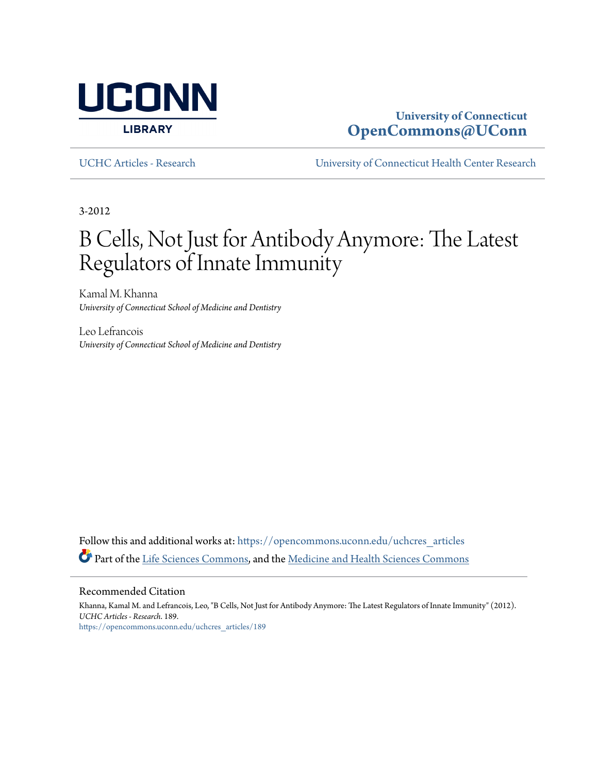

### **University of Connecticut [OpenCommons@UConn](https://opencommons.uconn.edu?utm_source=opencommons.uconn.edu%2Fuchcres_articles%2F189&utm_medium=PDF&utm_campaign=PDFCoverPages)**

[UCHC Articles - Research](https://opencommons.uconn.edu/uchcres_articles?utm_source=opencommons.uconn.edu%2Fuchcres_articles%2F189&utm_medium=PDF&utm_campaign=PDFCoverPages) [University of Connecticut Health Center Research](https://opencommons.uconn.edu/uchcres?utm_source=opencommons.uconn.edu%2Fuchcres_articles%2F189&utm_medium=PDF&utm_campaign=PDFCoverPages)

3-2012

## B Cells, Not Just for Antibody Anymore: The Latest Regulators of Innate Immunity

Kamal M. Khanna *University of Connecticut School of Medicine and Dentistry*

Leo Lefrancois *University of Connecticut School of Medicine and Dentistry*

Follow this and additional works at: [https://opencommons.uconn.edu/uchcres\\_articles](https://opencommons.uconn.edu/uchcres_articles?utm_source=opencommons.uconn.edu%2Fuchcres_articles%2F189&utm_medium=PDF&utm_campaign=PDFCoverPages) Part of the [Life Sciences Commons](http://network.bepress.com/hgg/discipline/1016?utm_source=opencommons.uconn.edu%2Fuchcres_articles%2F189&utm_medium=PDF&utm_campaign=PDFCoverPages), and the [Medicine and Health Sciences Commons](http://network.bepress.com/hgg/discipline/648?utm_source=opencommons.uconn.edu%2Fuchcres_articles%2F189&utm_medium=PDF&utm_campaign=PDFCoverPages)

#### Recommended Citation

Khanna, Kamal M. and Lefrancois, Leo, "B Cells, Not Just for Antibody Anymore: The Latest Regulators of Innate Immunity" (2012). *UCHC Articles - Research*. 189. [https://opencommons.uconn.edu/uchcres\\_articles/189](https://opencommons.uconn.edu/uchcres_articles/189?utm_source=opencommons.uconn.edu%2Fuchcres_articles%2F189&utm_medium=PDF&utm_campaign=PDFCoverPages)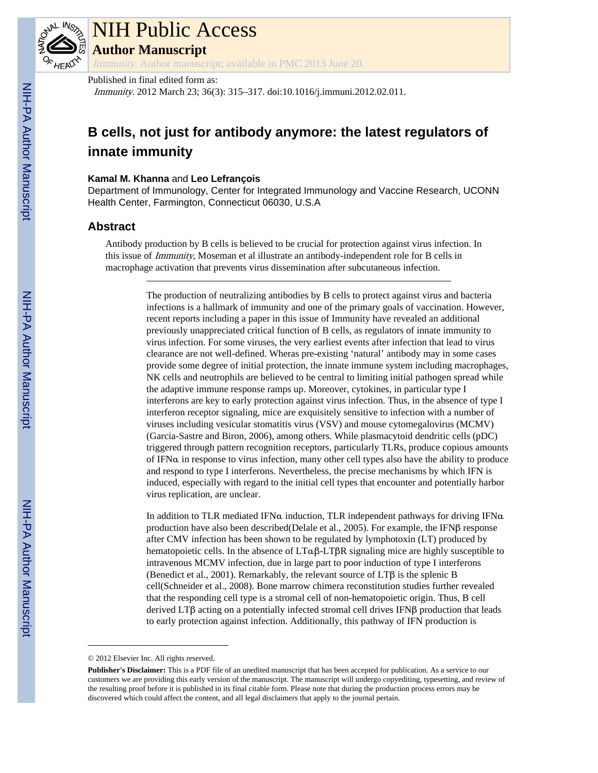

# NIH Public Access

**Author Manuscript**

Immunity. Author manuscript; available in PMC 2013 June 20.

### Published in final edited form as:

Immunity. 2012 March 23; 36(3): 315–317. doi:10.1016/j.immuni.2012.02.011.

### **B cells, not just for antibody anymore: the latest regulators of innate immunity**

#### **Kamal M. Khanna** and **Leo Lefrançois**

Department of Immunology, Center for Integrated Immunology and Vaccine Research, UCONN Health Center, Farmington, Connecticut 06030, U.S.A

### **Abstract**

Antibody production by B cells is believed to be crucial for protection against virus infection. In this issue of Immunity, Moseman et al illustrate an antibody-independent role for B cells in macrophage activation that prevents virus dissemination after subcutaneous infection.

> The production of neutralizing antibodies by B cells to protect against virus and bacteria infections is a hallmark of immunity and one of the primary goals of vaccination. However, recent reports including a paper in this issue of Immunity have revealed an additional previously unappreciated critical function of B cells, as regulators of innate immunity to virus infection. For some viruses, the very earliest events after infection that lead to virus clearance are not well-defined. Wheras pre-existing 'natural' antibody may in some cases provide some degree of initial protection, the innate immune system including macrophages, NK cells and neutrophils are believed to be central to limiting initial pathogen spread while the adaptive immune response ramps up. Moreover, cytokines, in particular type I interferons are key to early protection against virus infection. Thus, in the absence of type I interferon receptor signaling, mice are exquisitely sensitive to infection with a number of viruses including vesicular stomatitis virus (VSV) and mouse cytomegalovirus (MCMV) (Garcia-Sastre and Biron, 2006), among others. While plasmacytoid dendritic cells (pDC) triggered through pattern recognition receptors, particularly TLRs, produce copious amounts of IFNα in response to virus infection, many other cell types also have the ability to produce and respond to type I interferons. Nevertheless, the precise mechanisms by which IFN is induced, especially with regard to the initial cell types that encounter and potentially harbor virus replication, are unclear.

In addition to TLR mediated IFNα induction, TLR independent pathways for driving IFNα production have also been described(Delale et al., 2005). For example, the IFNβ response after CMV infection has been shown to be regulated by lymphotoxin (LT) produced by hematopoietic cells. In the absence of LTαβ-LTβR signaling mice are highly susceptible to intravenous MCMV infection, due in large part to poor induction of type I interferons (Benedict et al., 2001). Remarkably, the relevant source of LTβ is the splenic B cell(Schneider et al., 2008). Bone marrow chimera reconstitution studies further revealed that the responding cell type is a stromal cell of non-hematopoietic origin. Thus, B cell derived LTβ acting on a potentially infected stromal cell drives IFNβ production that leads to early protection against infection. Additionally, this pathway of IFN production is

<sup>© 2012</sup> Elsevier Inc. All rights reserved.

**Publisher's Disclaimer:** This is a PDF file of an unedited manuscript that has been accepted for publication. As a service to our customers we are providing this early version of the manuscript. The manuscript will undergo copyediting, typesetting, and review of the resulting proof before it is published in its final citable form. Please note that during the production process errors may be discovered which could affect the content, and all legal disclaimers that apply to the journal pertain.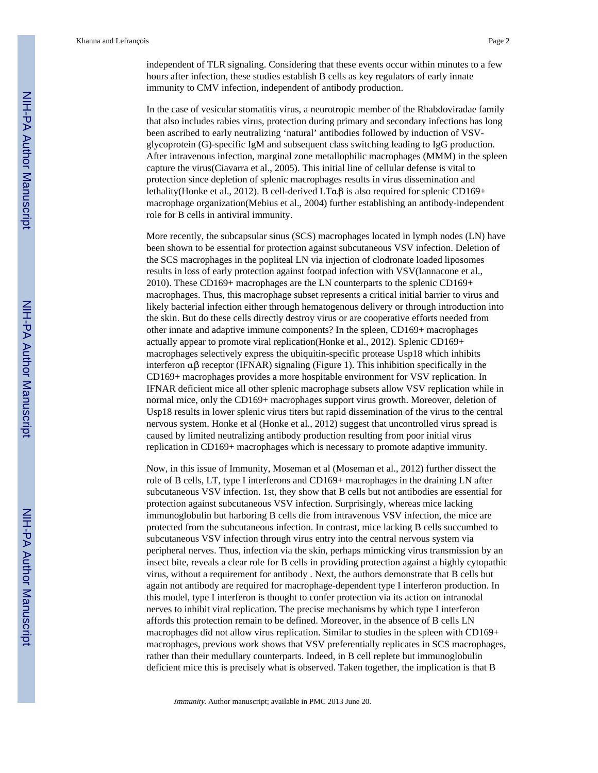independent of TLR signaling. Considering that these events occur within minutes to a few hours after infection, these studies establish B cells as key regulators of early innate immunity to CMV infection, independent of antibody production.

In the case of vesicular stomatitis virus, a neurotropic member of the Rhabdoviradae family that also includes rabies virus, protection during primary and secondary infections has long been ascribed to early neutralizing 'natural' antibodies followed by induction of VSVglycoprotein (G)-specific IgM and subsequent class switching leading to IgG production. After intravenous infection, marginal zone metallophilic macrophages (MMM) in the spleen capture the virus(Ciavarra et al., 2005). This initial line of cellular defense is vital to protection since depletion of splenic macrophages results in virus dissemination and lethality(Honke et al., 2012). B cell-derived LTαβ is also required for splenic CD169+ macrophage organization(Mebius et al., 2004) further establishing an antibody-independent role for B cells in antiviral immunity.

More recently, the subcapsular sinus (SCS) macrophages located in lymph nodes (LN) have been shown to be essential for protection against subcutaneous VSV infection. Deletion of the SCS macrophages in the popliteal LN via injection of clodronate loaded liposomes results in loss of early protection against footpad infection with VSV(Iannacone et al., 2010). These CD169+ macrophages are the LN counterparts to the splenic CD169+ macrophages. Thus, this macrophage subset represents a critical initial barrier to virus and likely bacterial infection either through hematogenous delivery or through introduction into the skin. But do these cells directly destroy virus or are cooperative efforts needed from other innate and adaptive immune components? In the spleen, CD169+ macrophages actually appear to promote viral replication(Honke et al., 2012). Splenic CD169+ macrophages selectively express the ubiquitin-specific protease Usp18 which inhibits interferon  $\alpha\beta$  receptor (IFNAR) signaling (Figure 1). This inhibition specifically in the CD169+ macrophages provides a more hospitable environment for VSV replication. In IFNAR deficient mice all other splenic macrophage subsets allow VSV replication while in normal mice, only the CD169+ macrophages support virus growth. Moreover, deletion of Usp18 results in lower splenic virus titers but rapid dissemination of the virus to the central nervous system. Honke et al (Honke et al., 2012) suggest that uncontrolled virus spread is caused by limited neutralizing antibody production resulting from poor initial virus replication in CD169+ macrophages which is necessary to promote adaptive immunity.

Now, in this issue of Immunity, Moseman et al (Moseman et al., 2012) further dissect the role of B cells, LT, type I interferons and CD169+ macrophages in the draining LN after subcutaneous VSV infection. 1st, they show that B cells but not antibodies are essential for protection against subcutaneous VSV infection. Surprisingly, whereas mice lacking immunoglobulin but harboring B cells die from intravenous VSV infection, the mice are protected from the subcutaneous infection. In contrast, mice lacking B cells succumbed to subcutaneous VSV infection through virus entry into the central nervous system via peripheral nerves. Thus, infection via the skin, perhaps mimicking virus transmission by an insect bite, reveals a clear role for B cells in providing protection against a highly cytopathic virus, without a requirement for antibody . Next, the authors demonstrate that B cells but again not antibody are required for macrophage-dependent type I interferon production. In this model, type I interferon is thought to confer protection via its action on intranodal nerves to inhibit viral replication. The precise mechanisms by which type I interferon affords this protection remain to be defined. Moreover, in the absence of B cells LN macrophages did not allow virus replication. Similar to studies in the spleen with CD169+ macrophages, previous work shows that VSV preferentially replicates in SCS macrophages, rather than their medullary counterparts. Indeed, in B cell replete but immunoglobulin deficient mice this is precisely what is observed. Taken together, the implication is that B

Immunity. Author manuscript; available in PMC 2013 June 20.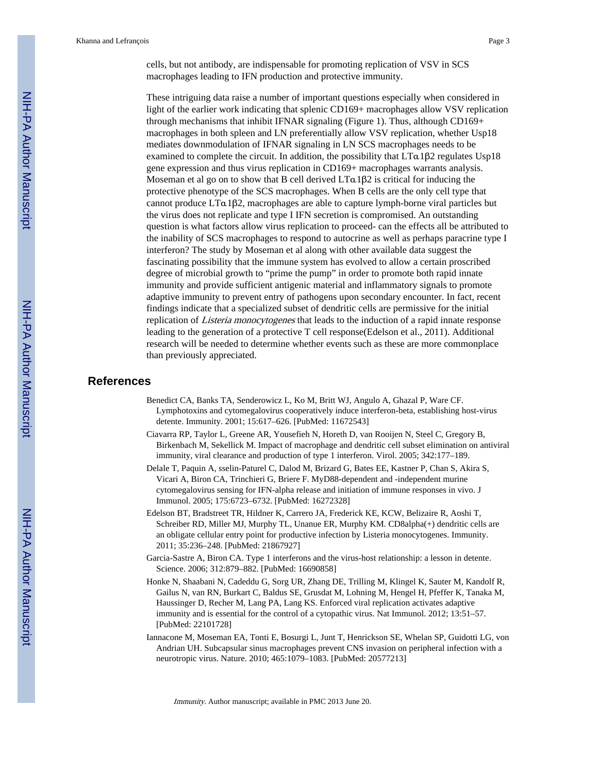cells, but not antibody, are indispensable for promoting replication of VSV in SCS macrophages leading to IFN production and protective immunity.

These intriguing data raise a number of important questions especially when considered in light of the earlier work indicating that splenic CD169+ macrophages allow VSV replication through mechanisms that inhibit IFNAR signaling (Figure 1). Thus, although CD169+ macrophages in both spleen and LN preferentially allow VSV replication, whether Usp18 mediates downmodulation of IFNAR signaling in LN SCS macrophages needs to be examined to complete the circuit. In addition, the possibility that  $LTa1\beta2$  regulates Usp18 gene expression and thus virus replication in CD169+ macrophages warrants analysis. Moseman et al go on to show that B cell derived  $LTa1\beta2$  is critical for inducing the protective phenotype of the SCS macrophages. When B cells are the only cell type that cannot produce LTα1β2, macrophages are able to capture lymph-borne viral particles but the virus does not replicate and type I IFN secretion is compromised. An outstanding question is what factors allow virus replication to proceed- can the effects all be attributed to the inability of SCS macrophages to respond to autocrine as well as perhaps paracrine type I interferon? The study by Moseman et al along with other available data suggest the fascinating possibility that the immune system has evolved to allow a certain proscribed degree of microbial growth to "prime the pump" in order to promote both rapid innate immunity and provide sufficient antigenic material and inflammatory signals to promote adaptive immunity to prevent entry of pathogens upon secondary encounter. In fact, recent findings indicate that a specialized subset of dendritic cells are permissive for the initial replication of *Listeria monocytogenes* that leads to the induction of a rapid innate response leading to the generation of a protective T cell response(Edelson et al., 2011). Additional research will be needed to determine whether events such as these are more commonplace than previously appreciated.

### **References**

- Benedict CA, Banks TA, Senderowicz L, Ko M, Britt WJ, Angulo A, Ghazal P, Ware CF. Lymphotoxins and cytomegalovirus cooperatively induce interferon-beta, establishing host-virus detente. Immunity. 2001; 15:617–626. [PubMed: 11672543]
- Ciavarra RP, Taylor L, Greene AR, Yousefieh N, Horeth D, van Rooijen N, Steel C, Gregory B, Birkenbach M, Sekellick M. Impact of macrophage and dendritic cell subset elimination on antiviral immunity, viral clearance and production of type 1 interferon. Virol. 2005; 342:177–189.
- Delale T, Paquin A, sselin-Paturel C, Dalod M, Brizard G, Bates EE, Kastner P, Chan S, Akira S, Vicari A, Biron CA, Trinchieri G, Briere F. MyD88-dependent and -independent murine cytomegalovirus sensing for IFN-alpha release and initiation of immune responses in vivo. J Immunol. 2005; 175:6723–6732. [PubMed: 16272328]
- Edelson BT, Bradstreet TR, Hildner K, Carrero JA, Frederick KE, KCW, Belizaire R, Aoshi T, Schreiber RD, Miller MJ, Murphy TL, Unanue ER, Murphy KM. CD8alpha(+) dendritic cells are an obligate cellular entry point for productive infection by Listeria monocytogenes. Immunity. 2011; 35:236–248. [PubMed: 21867927]
- Garcia-Sastre A, Biron CA. Type 1 interferons and the virus-host relationship: a lesson in detente. Science. 2006; 312:879–882. [PubMed: 16690858]
- Honke N, Shaabani N, Cadeddu G, Sorg UR, Zhang DE, Trilling M, Klingel K, Sauter M, Kandolf R, Gailus N, van RN, Burkart C, Baldus SE, Grusdat M, Lohning M, Hengel H, Pfeffer K, Tanaka M, Haussinger D, Recher M, Lang PA, Lang KS. Enforced viral replication activates adaptive immunity and is essential for the control of a cytopathic virus. Nat Immunol. 2012; 13:51–57. [PubMed: 22101728]
- Iannacone M, Moseman EA, Tonti E, Bosurgi L, Junt T, Henrickson SE, Whelan SP, Guidotti LG, von Andrian UH. Subcapsular sinus macrophages prevent CNS invasion on peripheral infection with a neurotropic virus. Nature. 2010; 465:1079–1083. [PubMed: 20577213]

Immunity. Author manuscript; available in PMC 2013 June 20.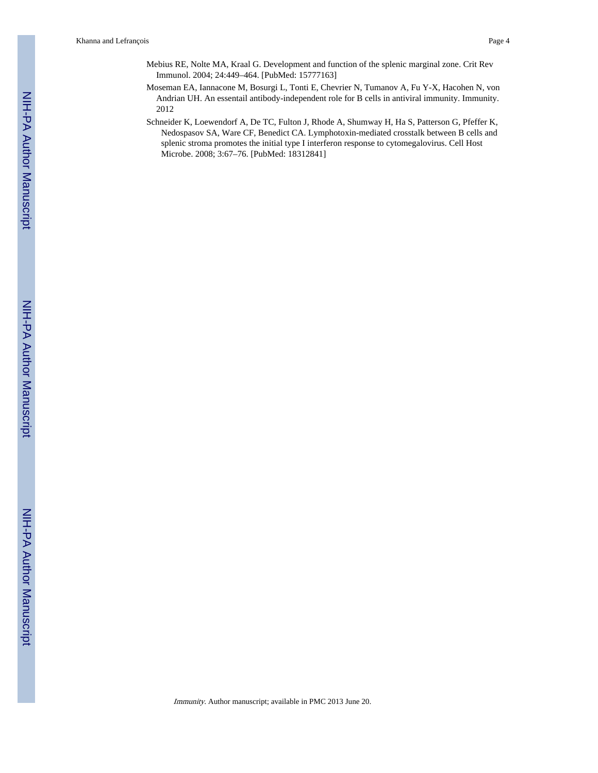- Mebius RE, Nolte MA, Kraal G. Development and function of the splenic marginal zone. Crit Rev Immunol. 2004; 24:449–464. [PubMed: 15777163]
- Moseman EA, Iannacone M, Bosurgi L, Tonti E, Chevrier N, Tumanov A, Fu Y-X, Hacohen N, von Andrian UH. An essentail antibody-independent role for B cells in antiviral immunity. Immunity. 2012
- Schneider K, Loewendorf A, De TC, Fulton J, Rhode A, Shumway H, Ha S, Patterson G, Pfeffer K, Nedospasov SA, Ware CF, Benedict CA. Lymphotoxin-mediated crosstalk between B cells and splenic stroma promotes the initial type I interferon response to cytomegalovirus. Cell Host Microbe. 2008; 3:67–76. [PubMed: 18312841]